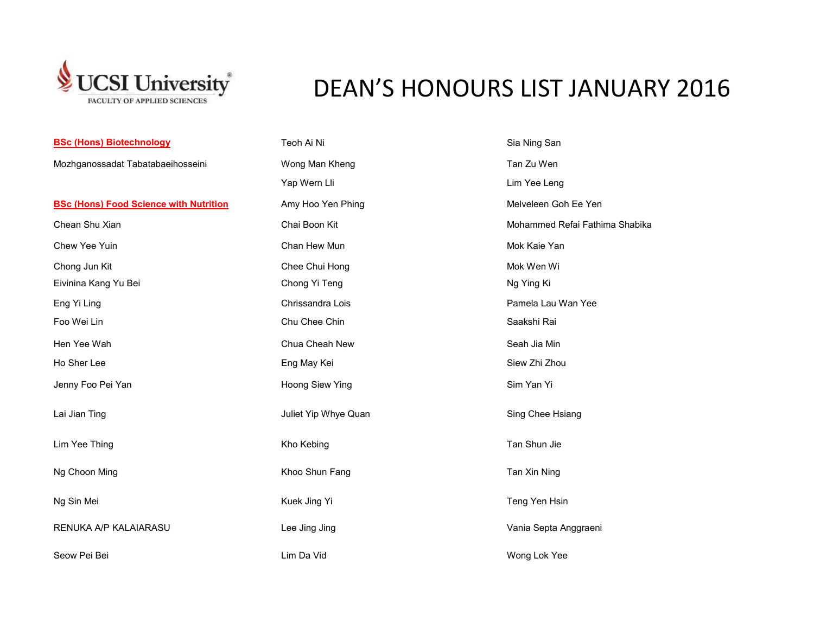

## DEAN'S HONOURS LIST JANUARY 2016

| <b>BSc (Hons) Biotechnology</b>               | Teoh Ai Ni           | Sia Ning San                   |
|-----------------------------------------------|----------------------|--------------------------------|
| Mozhganossadat Tabatabaeihosseini             | Wong Man Kheng       | Tan Zu Wen                     |
|                                               | Yap Wern Lli         | Lim Yee Leng                   |
| <b>BSc (Hons) Food Science with Nutrition</b> | Amy Hoo Yen Phing    | Melveleen Goh Ee Yen           |
| Chean Shu Xian                                | Chai Boon Kit        | Mohammed Refai Fathima Shabika |
| Chew Yee Yuin                                 | Chan Hew Mun         | Mok Kaie Yan                   |
| Chong Jun Kit                                 | Chee Chui Hong       | Mok Wen Wi                     |
| Eivinina Kang Yu Bei                          | Chong Yi Teng        | Ng Ying Ki                     |
| Eng Yi Ling                                   | Chrissandra Lois     | Pamela Lau Wan Yee             |
| Foo Wei Lin                                   | Chu Chee Chin        | Saakshi Rai                    |
| Hen Yee Wah                                   | Chua Cheah New       | Seah Jia Min                   |
| Ho Sher Lee                                   | Eng May Kei          | Siew Zhi Zhou                  |
| Jenny Foo Pei Yan                             | Hoong Siew Ying      | Sim Yan Yi                     |
| Lai Jian Ting                                 | Juliet Yip Whye Quan | Sing Chee Hsiang               |
| Lim Yee Thing                                 | Kho Kebing           | Tan Shun Jie                   |
| Ng Choon Ming                                 | Khoo Shun Fang       | Tan Xin Ning                   |
| Ng Sin Mei                                    | Kuek Jing Yi         | Teng Yen Hsin                  |
| RENUKA A/P KALAIARASU                         | Lee Jing Jing        | Vania Septa Anggraeni          |
| Seow Pei Bei                                  | Lim Da Vid           | Wong Lok Yee                   |